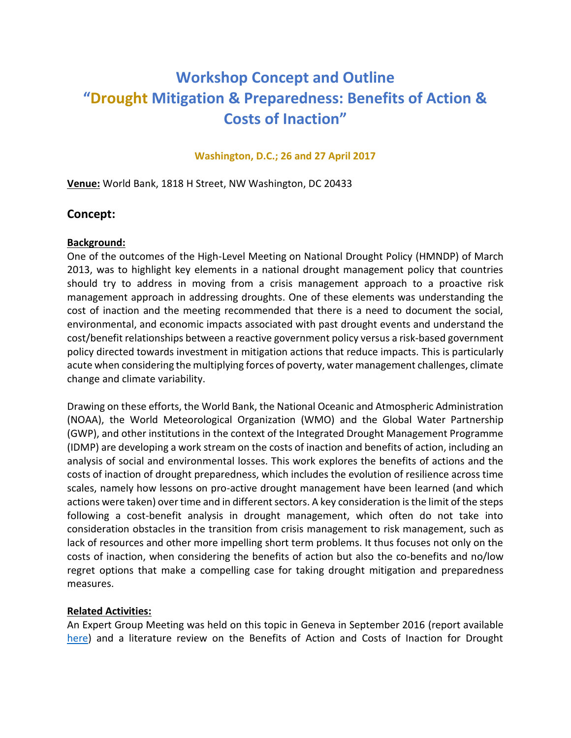# **Workshop Concept and Outline "Drought Mitigation & Preparedness: Benefits of Action & Costs of Inaction"**

#### **Washington, D.C.; 26 and 27 April 2017**

**Venue:** World Bank, 1818 H Street, NW Washington, DC 20433

### **Concept:**

#### **Background:**

One of the outcomes of the High-Level Meeting on National Drought Policy (HMNDP) of March 2013, was to highlight key elements in a national drought management policy that countries should try to address in moving from a crisis management approach to a proactive risk management approach in addressing droughts. One of these elements was understanding the cost of inaction and the meeting recommended that there is a need to document the social, environmental, and economic impacts associated with past drought events and understand the cost/benefit relationships between a reactive government policy versus a risk-based government policy directed towards investment in mitigation actions that reduce impacts. This is particularly acute when considering the multiplying forces of poverty, water management challenges, climate change and climate variability.

Drawing on these efforts, the World Bank, the National Oceanic and Atmospheric Administration (NOAA), the World Meteorological Organization (WMO) and the Global Water Partnership (GWP), and other institutions in the context of the Integrated Drought Management Programme (IDMP) are developing a work stream on the costs of inaction and benefits of action, including an analysis of social and environmental losses. This work explores the benefits of actions and the costs of inaction of drought preparedness, which includes the evolution of resilience across time scales, namely how lessons on pro-active drought management have been learned (and which actions were taken) over time and in different sectors. A key consideration is the limit of the steps following a cost-benefit analysis in drought management, which often do not take into consideration obstacles in the transition from crisis management to risk management, such as lack of resources and other more impelling short term problems. It thus focuses not only on the costs of inaction, when considering the benefits of action but also the co-benefits and no/low regret options that make a compelling case for taking drought mitigation and preparedness measures.

#### **Related Activities:**

An Expert Group Meeting was held on this topic in Geneva in September 2016 (report available [here\)](http://www.droughtmanagement.info/wp-content/uploads/2016/11/IDMP_EGM_BA-CI_Report.pdf) and a literature review on the Benefits of Action and Costs of Inaction for Drought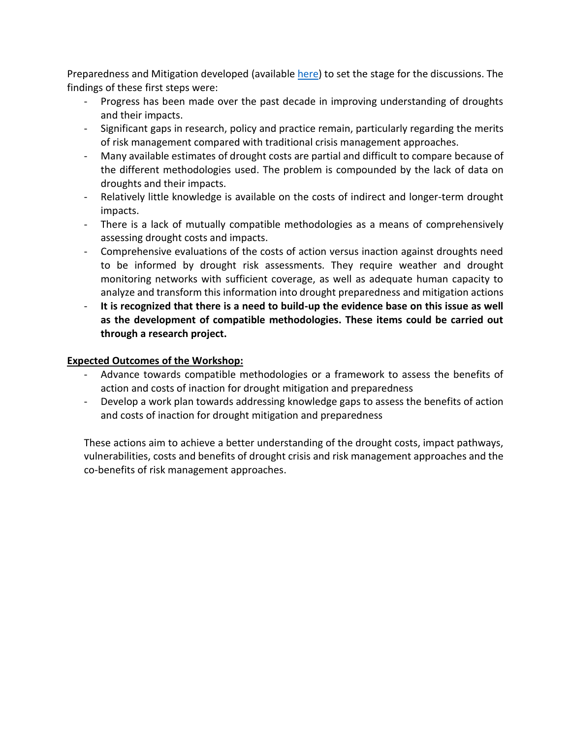Preparedness and Mitigation developed (available [here\)](http://www.droughtmanagement.info/literature/IDMP_BACI_WP.PDF) to set the stage for the discussions. The findings of these first steps were:

- Progress has been made over the past decade in improving understanding of droughts and their impacts.
- Significant gaps in research, policy and practice remain, particularly regarding the merits of risk management compared with traditional crisis management approaches.
- Many available estimates of drought costs are partial and difficult to compare because of the different methodologies used. The problem is compounded by the lack of data on droughts and their impacts.
- Relatively little knowledge is available on the costs of indirect and longer-term drought impacts.
- There is a lack of mutually compatible methodologies as a means of comprehensively assessing drought costs and impacts.
- Comprehensive evaluations of the costs of action versus inaction against droughts need to be informed by drought risk assessments. They require weather and drought monitoring networks with sufficient coverage, as well as adequate human capacity to analyze and transform this information into drought preparedness and mitigation actions
- It is recognized that there is a need to build-up the evidence base on this issue as well **as the development of compatible methodologies. These items could be carried out through a research project.**

#### **Expected Outcomes of the Workshop:**

- Advance towards compatible methodologies or a framework to assess the benefits of action and costs of inaction for drought mitigation and preparedness
- Develop a work plan towards addressing knowledge gaps to assess the benefits of action and costs of inaction for drought mitigation and preparedness

These actions aim to achieve a better understanding of the drought costs, impact pathways, vulnerabilities, costs and benefits of drought crisis and risk management approaches and the co-benefits of risk management approaches.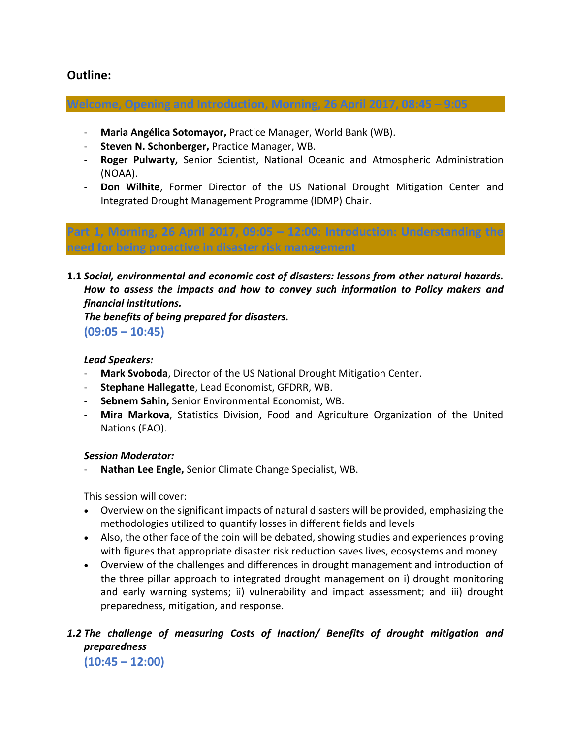## **Outline:**

**Welcome, Opening and Introduction, Morning, 26 April 2017, 08:45 – 9:05**

- **Maria Angélica Sotomayor,** Practice Manager, World Bank (WB).
- **Steven N. Schonberger,** Practice Manager, WB.
- **Roger Pulwarty,** Senior Scientist, National Oceanic and Atmospheric Administration (NOAA).
- **Don Wilhite**, Former Director of the US National Drought Mitigation Center and Integrated Drought Management Programme (IDMP) Chair.

**Part 1, Morning, 26 April 2017, 09:05 – 12:00: Introduction: Understanding the need for being proactive in disaster risk management**

**1.1** *Social, environmental and economic cost of disasters: lessons from other natural hazards. How to assess the impacts and how to convey such information to Policy makers and financial institutions.* 

*The benefits of being prepared for disasters.*

**(09:05 – 10:45)**

#### *Lead Speakers:*

- Mark Svoboda, Director of the US National Drought Mitigation Center.
- **Stephane Hallegatte**, Lead Economist, GFDRR, WB.
- **Sebnem Sahin,** Senior Environmental Economist, WB.
- **Mira Markova**, Statistics Division, Food and Agriculture Organization of the United Nations (FAO).

#### *Session Moderator:*

- **Nathan Lee Engle,** Senior Climate Change Specialist, WB.

This session will cover:

- Overview on the significant impacts of natural disasters will be provided, emphasizing the methodologies utilized to quantify losses in different fields and levels
- Also, the other face of the coin will be debated, showing studies and experiences proving with figures that appropriate disaster risk reduction saves lives, ecosystems and money
- Overview of the challenges and differences in drought management and introduction of the three pillar approach to integrated drought management on i) drought monitoring and early warning systems; ii) vulnerability and impact assessment; and iii) drought preparedness, mitigation, and response.

## *1.2 The challenge of measuring Costs of Inaction/ Benefits of drought mitigation and preparedness*

**(10:45 – 12:00)**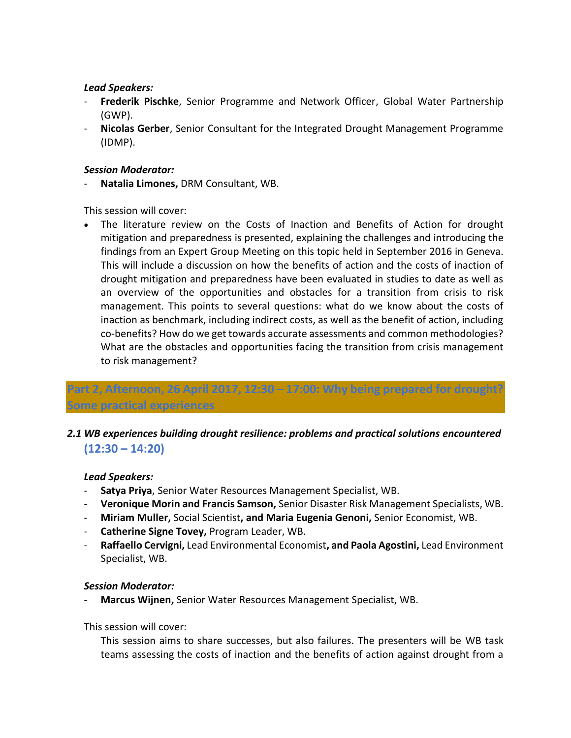#### *Lead Speakers:*

- **Frederik Pischke**, Senior Programme and Network Officer, Global Water Partnership (GWP).
- **Nicolas Gerber**, Senior Consultant for the Integrated Drought Management Programme (IDMP).

#### *Session Moderator:*

- **Natalia Limones,** DRM Consultant, WB.

This session will cover:

 The literature review on the Costs of Inaction and Benefits of Action for drought mitigation and preparedness is presented, explaining the challenges and introducing the findings from an Expert Group Meeting on this topic held in September 2016 in Geneva. This will include a discussion on how the benefits of action and the costs of inaction of drought mitigation and preparedness have been evaluated in studies to date as well as an overview of the opportunities and obstacles for a transition from crisis to risk management. This points to several questions: what do we know about the costs of inaction as benchmark, including indirect costs, as well as the benefit of action, including co-benefits? How do we get towards accurate assessments and common methodologies? What are the obstacles and opportunities facing the transition from crisis management to risk management?

## **Part 2, Afternoon, 26 April 2017, 12:30 – 17:00: Why being prepared for drought? Some practical experiences**

## *2.1 WB experiences building drought resilience: problems and practical solutions encountered* **(12:30 – 14:20)**

#### *Lead Speakers:*

- **Satya Priya**, Senior Water Resources Management Specialist, WB.
- **Veronique Morin and Francis Samson,** Senior Disaster Risk Management Specialists, WB.
- **Miriam Muller,** Social Scientist**, and Maria Eugenia Genoni,** Senior Economist, WB.
- **Catherine Signe Tovey,** Program Leader, WB.
- **Raffaello Cervigni,** Lead Environmental Economist**, and Paola Agostini,** Lead Environment Specialist, WB.

#### *Session Moderator:*

- **Marcus Wijnen,** Senior Water Resources Management Specialist, WB.

This session will cover:

This session aims to share successes, but also failures. The presenters will be WB task teams assessing the costs of inaction and the benefits of action against drought from a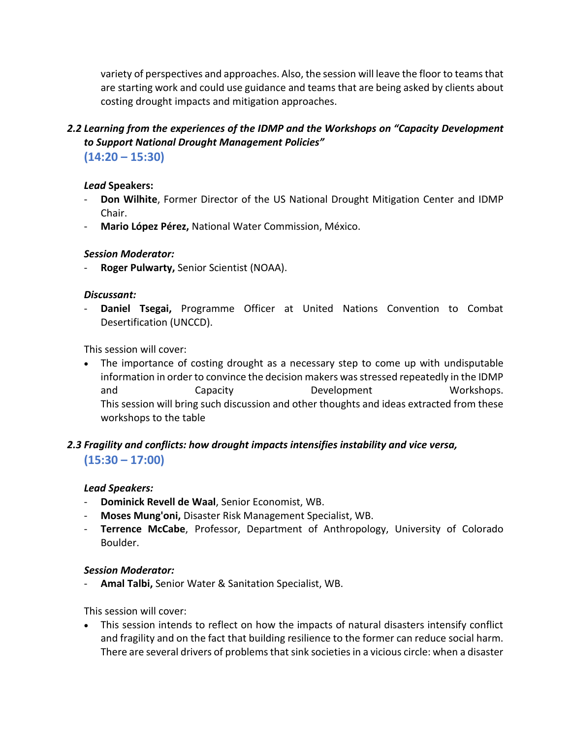variety of perspectives and approaches. Also, the session will leave the floor to teams that are starting work and could use guidance and teams that are being asked by clients about costing drought impacts and mitigation approaches.

## 2.2 Learning from the experiences of the IDMP and the Workshops on "Capacity Development *to Support National Drought Management Policies"* **(14:20 – 15:30)**

#### *Lead* **Speakers:**

- **Don Wilhite**, Former Director of the US National Drought Mitigation Center and IDMP Chair.
- **Mario López Pérez,** National Water Commission, México.

#### *Session Moderator:*

- **Roger Pulwarty,** Senior Scientist (NOAA).

#### *Discussant:*

Daniel Tsegai, Programme Officer at United Nations Convention to Combat Desertification (UNCCD).

This session will cover:

 The importance of costing drought as a necessary step to come up with undisputable information in order to convince the decision makers was stressed repeatedly in the IDMP and Capacity Development Workshops. This session will bring such discussion and other thoughts and ideas extracted from these workshops to the table

## *2.3 Fragility and conflicts: how drought impacts intensifies instability and vice versa,* **(15:30 – 17:00)**

#### *Lead Speakers:*

- **Dominick Revell de Waal**, Senior Economist, WB.
- **Moses Mung'oni,** Disaster Risk Management Specialist, WB.
- Terrence McCabe, Professor, Department of Anthropology, University of Colorado Boulder.

#### *Session Moderator:*

- **Amal Talbi,** Senior Water & Sanitation Specialist, WB.

This session will cover:

 This session intends to reflect on how the impacts of natural disasters intensify conflict and fragility and on the fact that building resilience to the former can reduce social harm. There are several drivers of problems that sink societies in a vicious circle: when a disaster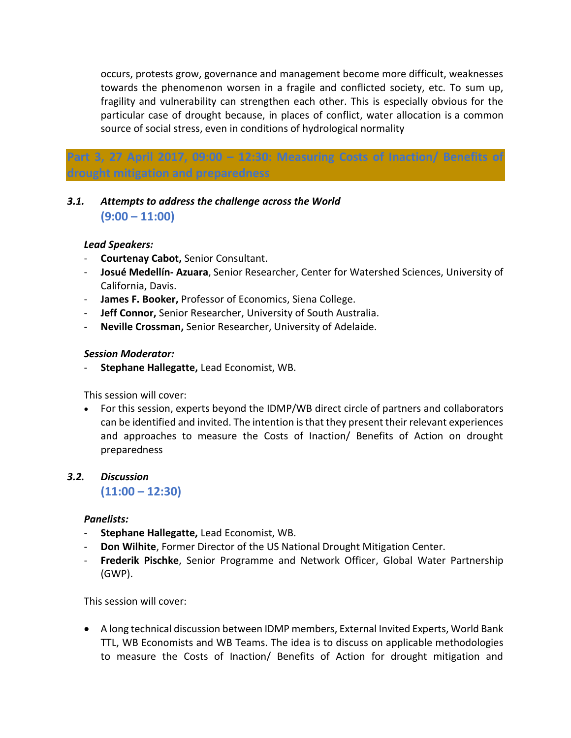occurs, protests grow, governance and management become more difficult, weaknesses towards the phenomenon worsen in a fragile and conflicted society, etc. To sum up, fragility and vulnerability can strengthen each other. This is especially obvious for the particular case of drought because, in places of conflict, water allocation is a common source of social stress, even in conditions of hydrological normality

## **Part 3, 27 April 2017, 09:00 – 12:30: Measuring Costs of Inaction/ Benefits of drought mitigation and preparedness**

## *3.1. Attempts to address the challenge across the World* **(9:00 – 11:00)**

#### *Lead Speakers:*

- **Courtenay Cabot,** Senior Consultant.
- **Josué Medellín- Azuara**, Senior Researcher, Center for Watershed Sciences, University of California, Davis.
- **James F. Booker,** Professor of Economics, Siena College.
- **Jeff Connor,** Senior Researcher, University of South Australia.
- **Neville Crossman,** Senior Researcher, University of Adelaide.

#### *Session Moderator:*

- **Stephane Hallegatte,** Lead Economist, WB.

This session will cover:

 For this session, experts beyond the IDMP/WB direct circle of partners and collaborators can be identified and invited. The intention is that they present their relevant experiences and approaches to measure the Costs of Inaction/ Benefits of Action on drought preparedness

## *3.2. Discussion*

**(11:00 – 12:30)**

#### *Panelists:*

- **Stephane Hallegatte,** Lead Economist, WB.
- **Don Wilhite**, Former Director of the US National Drought Mitigation Center.
- **Frederik Pischke**, Senior Programme and Network Officer, Global Water Partnership (GWP).

This session will cover:

 A long technical discussion between IDMP members, External Invited Experts, World Bank TTL, WB Economists and WB Teams. The idea is to discuss on applicable methodologies to measure the Costs of Inaction/ Benefits of Action for drought mitigation and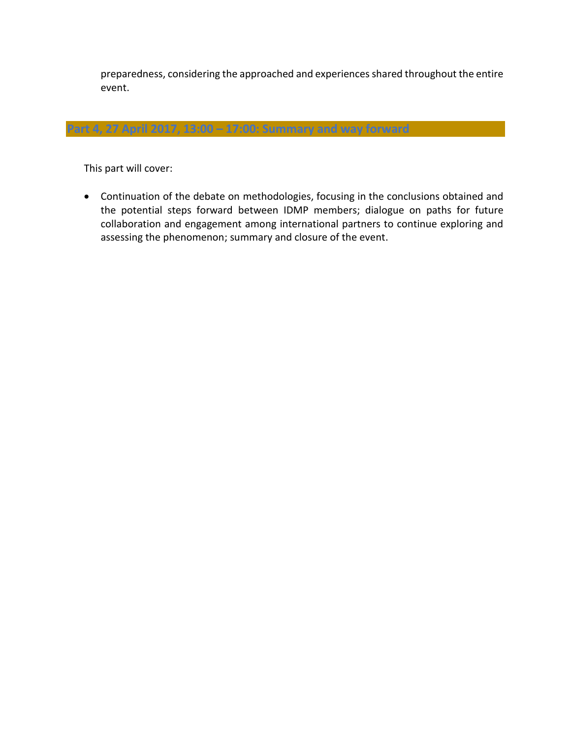preparedness, considering the approached and experiences shared throughout the entire event.

**Part 4, 27 April 2017, 13:00 – 17:00: Summary and way forward**

This part will cover:

 Continuation of the debate on methodologies, focusing in the conclusions obtained and the potential steps forward between IDMP members; dialogue on paths for future collaboration and engagement among international partners to continue exploring and assessing the phenomenon; summary and closure of the event.